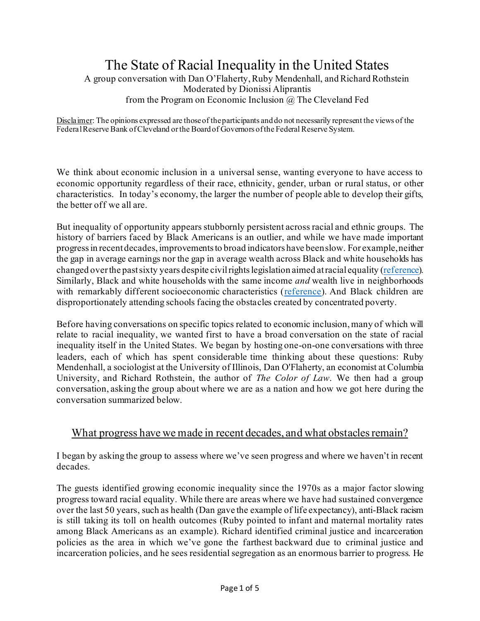# The State of Racial Inequality in the United States

A group conversation with Dan O'Flaherty, Ruby Mendenhall, and Richard Rothstein Moderated by Dionissi Aliprantis from the Program on Economic Inclusion @ The Cleveland Fed

Disclaimer: The opinions expressed are those of the participants and do not necessarily represent the views of the Federal Reserve Bank of Cleveland or the Board of Governors of the Federal Reserve System.

We think about economic inclusion in a universal sense, wanting everyone to have access to economic opportunity regardless of their race, ethnicity, gender, urban or rural status, or other characteristics. In today's economy, the larger the number of people able to develop their gifts, the better off we all are.

But inequality of opportunity appears stubbornly persistent across racial and ethnic groups. The history of barriers faced by Black Americans is an outlier, and while we have made important progress in recent decades, improvements to broad indicators have been slow. For example, neither the gap in average earnings nor the gap in average wealth across Black and white households has changed over the past sixty years despite civil rights legislation aimed at racial equality [\(reference\)](http://dionissialiprantis.com/pdfs/dynamics_RWG_August_2021.pdf). Similarly, Black and white households with the same income *and* wealth live in neighborhoods with remarkably different socioeconomic characteristics [\(reference](http://dionissialiprantis.com/pdfs/nbd_sorting_and_wealth_v6.pdf)). And Black children are disproportionately attending schools facing the obstacles created by concentrated poverty.

Before having conversations on specific topics related to economic inclusion, many of which will relate to racial inequality, we wanted first to have a broad conversation on the state of racial inequality itself in the United States. We began by hosting one-on-one conversations with three leaders, each of which has spent considerable time thinking about these questions: Ruby Mendenhall, a sociologist at the University of Illinois, Dan O'Flaherty, an economist at Columbia University, and Richard Rothstein, the author of *The Color of Law*. We then had a group conversation, asking the group about where we are as a nation and how we got here during the conversation summarized below.

#### What progress have we made in recent decades, and what obstacles remain?

I began by asking the group to assess where we've seen progress and where we haven't in recent decades.

The guests identified growing economic inequality since the 1970s as a major factor slowing progress toward racial equality. While there are areas where we have had sustained convergence over the last 50 years, such as health (Dan gave the example of life expectancy), anti-Black racism is still taking its toll on health outcomes (Ruby pointed to infant and maternal mortality rates among Black Americans as an example). Richard identified criminal justice and incarceration policies as the area in which we've gone the farthest backward due to criminal justice and incarceration policies, and he sees residential segregation as an enormous barrier to progress. He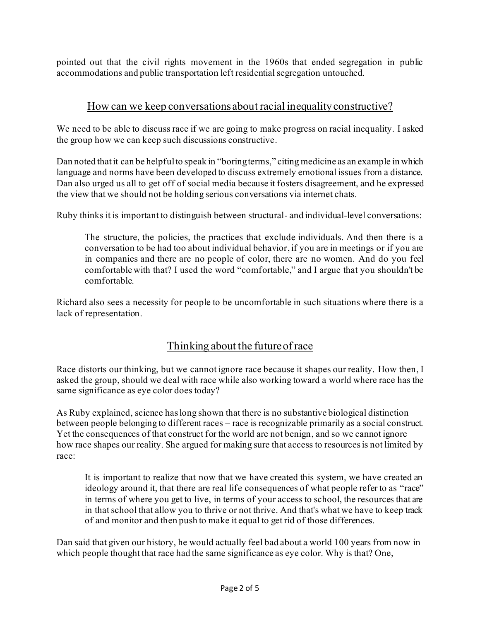pointed out that the civil rights movement in the 1960s that ended segregation in public accommodations and public transportation left residential segregation untouched.

## How can we keep conversations about racial inequality constructive?

We need to be able to discuss race if we are going to make progress on racial inequality. I asked the group how we can keep such discussions constructive.

Dan noted that it can be helpful to speak in "boring terms," citing medicine as an example in which language and norms have been developed to discuss extremely emotional issues from a distance. Dan also urged us all to get off of social media because it fosters disagreement, and he expressed the view that we should not be holding serious conversations via internet chats.

Ruby thinks it is important to distinguish between structural- and individual-level conversations:

The structure, the policies, the practices that exclude individuals. And then there is a conversation to be had too about individual behavior, if you are in meetings or if you are in companies and there are no people of color, there are no women. And do you feel comfortable with that? I used the word "comfortable," and I argue that you shouldn't be comfortable.

Richard also sees a necessity for people to be uncomfortable in such situations where there is a lack of representation.

## Thinking about the future of race

Race distorts our thinking, but we cannot ignore race because it shapes our reality. How then, I asked the group, should we deal with race while also working toward a world where race has the same significance as eye color does today?

As Ruby explained, science has long shown that there is no substantive biological distinction between people belonging to different races – race is recognizable primarily as a social construct. Yet the consequences of that construct for the world are not benign, and so we cannot ignore how race shapes our reality. She argued for making sure that access to resources is not limited by race:

It is important to realize that now that we have created this system, we have created an ideology around it, that there are real life consequences of what people refer to as "race" in terms of where you get to live, in terms of your access to school, the resources that are in that school that allow you to thrive or not thrive. And that's what we have to keep track of and monitor and then push to make it equal to get rid of those differences.

Dan said that given our history, he would actually feel bad about a world 100 years from now in which people thought that race had the same significance as eye color. Why is that? One,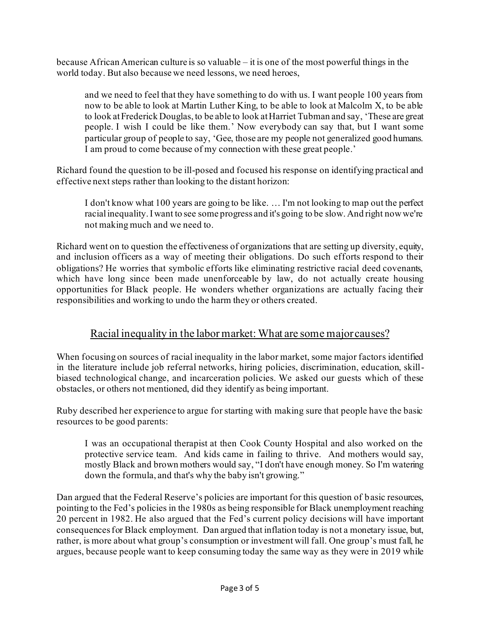because African American culture is so valuable – it is one of the most powerful things in the world today. But also because we need lessons, we need heroes,

and we need to feel that they have something to do with us. I want people 100 years from now to be able to look at Martin Luther King, to be able to look at Malcolm X, to be able to look at Frederick Douglas, to be able to look at Harriet Tubman and say, 'These are great people. I wish I could be like them.' Now everybody can say that, but I want some particular group of people to say, 'Gee, those are my people not generalized good humans. I am proud to come because of my connection with these great people.'

Richard found the question to be ill-posed and focused his response on identifying practical and effective next steps rather than looking to the distant horizon:

I don't know what 100 years are going to be like. … I'm not looking to map out the perfect racial inequality. I want to see some progress and it's going to be slow. And right now we're not making much and we need to.

Richard went on to question the effectiveness of organizations that are setting up diversity, equity, and inclusion officers as a way of meeting their obligations. Do such efforts respond to their obligations? He worries that symbolic efforts like eliminating restrictive racial deed covenants, which have long since been made unenforceable by law, do not actually create housing opportunities for Black people. He wonders whether organizations are actually facing their responsibilities and working to undo the harm they or others created.

## Racial inequality in the labor market: What are some major causes?

When focusing on sources of racial inequality in the labor market, some major factors identified in the literature include job referral networks, hiring policies, discrimination, education, skillbiased technological change, and incarceration policies. We asked our guests which of these obstacles, or others not mentioned, did they identify as being important.

Ruby described her experience to argue for starting with making sure that people have the basic resources to be good parents:

I was an occupational therapist at then Cook County Hospital and also worked on the protective service team. And kids came in failing to thrive. And mothers would say, mostly Black and brown mothers would say, "I don't have enough money. So I'm watering down the formula, and that's why the baby isn't growing."

Dan argued that the Federal Reserve's policies are important for this question of basic resources, pointing to the Fed's policies in the 1980s as being responsible for Black unemployment reaching 20 percent in 1982. He also argued that the Fed's current policy decisions will have important consequences for Black employment. Dan argued that inflation today is not a monetary issue, but, rather, is more about what group's consumption or investment will fall. One group's must fall, he argues, because people want to keep consuming today the same way as they were in 2019 while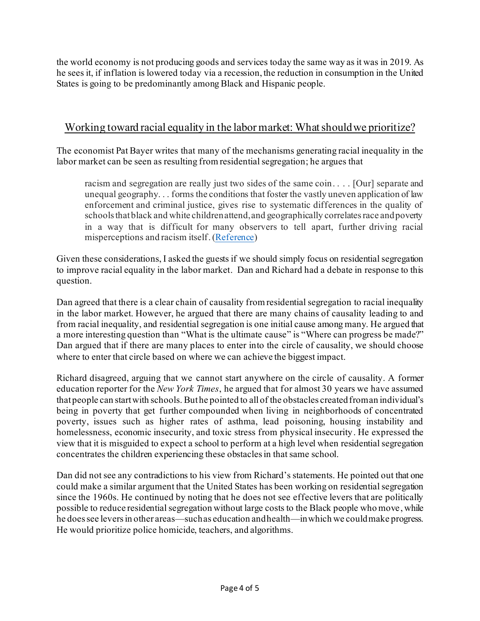the world economy is not producing goods and services today the same way as it was in 2019. As he sees it, if inflation is lowered today via a recession, the reduction in consumption in the United States is going to be predominantly among Black and Hispanic people.

## Working toward racial equality in the labor market: What should we prioritize?

The economist Pat Bayer writes that many of the mechanisms generating racial inequality in the labor market can be seen as resulting from residential segregation; he argues that

racism and segregation are really just two sides of the same coin. . . . [Our] separate and unequal geography. . . forms the conditions that foster the vastly uneven application of law enforcement and criminal justice, gives rise to systematic differences in the quality of schools that black and white children attend, and geographically correlates race and poverty in a way that is difficult for many observers to tell apart, further driving racial misperceptions and racism itself. [\(Reference](https://furmancenter.org/research/iri/essay/the-enduring-legacy-of-our-separate-and-unequal-geography))

Given these considerations, I asked the guests if we should simply focus on residential segregation to improve racial equality in the labor market. Dan and Richard had a debate in response to this question.

Dan agreed that there is a clear chain of causality from residential segregation to racial inequality in the labor market. However, he argued that there are many chains of causality leading to and from racial inequality, and residential segregation is one initial cause among many. He argued that a more interesting question than "What is the ultimate cause" is "Where can progress be made?" Dan argued that if there are many places to enter into the circle of causality, we should choose where to enter that circle based on where we can achieve the biggest impact.

Richard disagreed, arguing that we cannot start anywhere on the circle of causality. A former education reporter for the *New York Times*, he argued that for almost 30 years we have assumed that people can start with schools. But he pointed to all of the obstacles created from an individual's being in poverty that get further compounded when living in neighborhoods of concentrated poverty, issues such as higher rates of asthma, lead poisoning, housing instability and homelessness, economic insecurity, and toxic stress from physical insecurity. He expressed the view that it is misguided to expect a school to perform at a high level when residential segregation concentrates the children experiencing these obstaclesin that same school.

Dan did not see any contradictions to his view from Richard's statements. He pointed out that one could make a similar argument that the United States has been working on residential segregation since the 1960s. He continued by noting that he does not see effective levers that are politically possible to reduce residential segregation without large costs to the Black people who move, while he does see levers in other areas—such as education and health—in which we could make progress. He would prioritize police homicide, teachers, and algorithms.